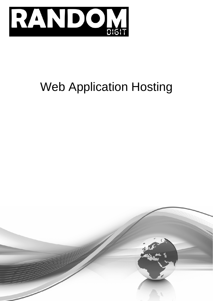

# Web Application Hosting

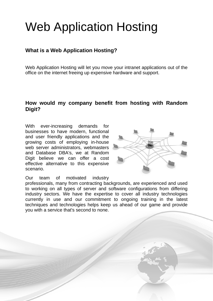# Web Application Hosting

### **What is a Web Application Hosting?**

Web Application Hosting will let you move your intranet applications out of the office on the internet freeing up expensive hardware and support.

#### **How would my company benefit from hosting with Random Digit?**

With ever-increasing demands for businesses to have modern, functional and user friendly applications and the growing costs of employing in-house web server administrators, webmasters and Database DBA's, we at Random Digit believe we can offer a cost effective alternative to this expensive scenario.



Our team of motivated industry

professionals, many from contracting backgrounds, are experienced and used to working on all types of server and software configurations from differing industry sectors. We have the expertise to cover all industry technologies currently in use and our commitment to ongoing training in the latest techniques and technologies helps keep us ahead of our game and provide you with a service that's second to none.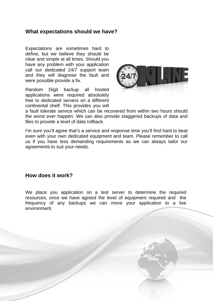#### **What expectations should we have?**

Expectations are sometimes hard to define, but we believe they should be clear and simple at all times. Should you have any problem with your application call our dedicated 24/7 support team and they will diagnose the fault and were possible provide a fix.

Random Digit backup all hosted applications were required absolutely free to dedicated servers on a different continental shelf. This provides you will



a fault tolerate service which can be recovered from within two hours should the worst ever happen. We can also provide staggered backups of data and files to provide a level of data rollback.

I'm sure you'll agree that's a service and response time you'll find hard to beat even with your own dedicated equipment and team. Please remember to call us if you have less demanding requirements as we can always tailor our agreements to suit your needs.

#### **How does it work?**

We place you application on a test server to determine the required resources, once we have agreed the level of equipment required and the frequency of any backups we can move your application to a live environment.